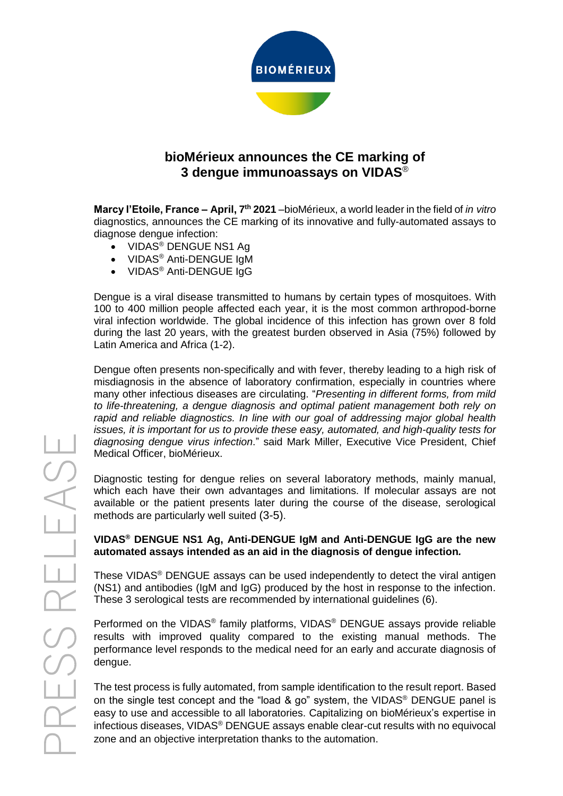

# **bioMérieux announces the CE marking of 3 dengue immunoassays on VIDAS**®

**Marcy l'Etoile, France – April, 7 th 2021** –bioMérieux, a world leader in the field of *in vitro* diagnostics, announces the CE marking of its innovative and fully-automated assays to diagnose dengue infection:

- VIDAS<sup>®</sup> DENGUE NS1 Ag
- VIDAS® Anti-DENGUE IgM
- VIDAS<sup>®</sup> Anti-DENGUE IgG

Dengue is a viral disease transmitted to humans by certain types of mosquitoes. With 100 to 400 million people affected each year, it is the most common arthropod-borne viral infection worldwide. The global incidence of this infection has grown over 8 fold during the last 20 years, with the greatest burden observed in Asia (75%) followed by Latin America and Africa (1-2).

Dengue often presents non-specifically and with fever, thereby leading to a high risk of misdiagnosis in the absence of laboratory confirmation, especially in countries where many other infectious diseases are circulating. "*Presenting in different forms, from mild to life-threatening, a dengue diagnosis and optimal patient management both rely on rapid and reliable diagnostics. In line with our goal of addressing major global health issues, it is important for us to provide these easy, automated, and high-quality tests for diagnosing dengue virus infection*." said Mark Miller, Executive Vice President, Chief Medical Officer, bioMérieux.

Diagnostic testing for dengue relies on several laboratory methods, mainly manual, which each have their own advantages and limitations. If molecular assays are not available or the patient presents later during the course of the disease, serological methods are particularly well suited (3-5).

### **VIDAS® DENGUE NS1 Ag, Anti-DENGUE IgM and Anti-DENGUE IgG are the new automated assays intended as an aid in the diagnosis of dengue infection***.*

These VIDAS® DENGUE assays can be used independently to detect the viral antigen (NS1) and antibodies (IgM and IgG) produced by the host in response to the infection. These 3 serological tests are recommended by international guidelines (6).

Performed on the VIDAS<sup>®</sup> family platforms, VIDAS<sup>®</sup> DENGUE assays provide reliable results with improved quality compared to the existing manual methods. The performance level responds to the medical need for an early and accurate diagnosis of dengue.

The test process is fully automated, from sample identification to the result report. Based on the single test concept and the "load & go" system, the VIDAS<sup>®</sup> DENGUE panel is easy to use and accessible to all laboratories. Capitalizing on bioMérieux's expertise in infectious diseases, VIDAS® DENGUE assays enable clear-cut results with no equivocal zone and an objective interpretation thanks to the automation.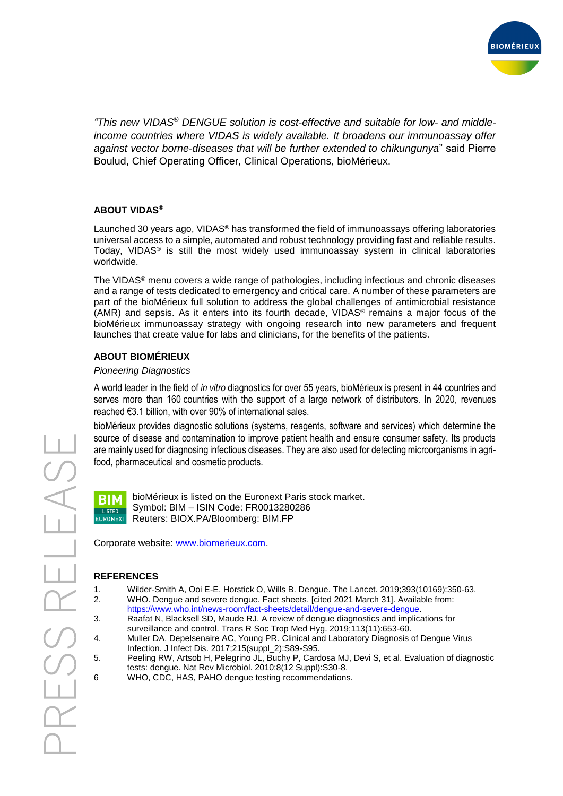

*"This new VIDAS® DENGUE solution is cost-effective and suitable for low- and middleincome countries where VIDAS is widely available. It broadens our immunoassay offer against vector borne-diseases that will be further extended to chikungunya*" said Pierre Boulud, Chief Operating Officer, Clinical Operations, bioMérieux.

#### **ABOUT VIDAS®**

Launched 30 years ago, VIDAS<sup>®</sup> has transformed the field of immunoassays offering laboratories universal access to a simple, automated and robust technology providing fast and reliable results. Today, VIDAS® is still the most widely used immunoassay system in clinical laboratories worldwide.

The VIDAS® menu covers a wide range of pathologies, including infectious and chronic diseases and a range of tests dedicated to emergency and critical care. A number of these parameters are part of the bioMérieux full solution to address the global challenges of antimicrobial resistance (AMR) and sepsis. As it enters into its fourth decade, VIDAS® remains a major focus of the bioMérieux immunoassay strategy with ongoing research into new parameters and frequent launches that create value for labs and clinicians, for the benefits of the patients.

## **ABOUT BIOMÉRIEUX**

#### *Pioneering Diagnostics*

A world leader in the field of *in vitro* diagnostics for over 55 years, bioMérieux is present in 44 countries and serves more than 160 countries with the support of a large network of distributors. In 2020, revenues reached €3.1 billion, with over 90% of international sales.

bioMérieux provides diagnostic solutions (systems, reagents, software and services) which determine the source of disease and contamination to improve patient health and ensure consumer safety. Its products are mainly used for diagnosing infectious diseases. They are also used for detecting microorganisms in agrifood, pharmaceutical and cosmetic products.



bioMérieux is listed on the Euronext Paris stock market. Symbol: BIM – ISIN Code: FR0013280286 Reuters: BIOX.PA/Bloomberg: BIM.FP

Corporate website: [www.biomerieux.com.](http://www.biomerieux.com/)

## **REFERENCES**

- 1. Wilder-Smith A, Ooi E-E, Horstick O, Wills B. Dengue. The Lancet. 2019;393(10169):350-63. 2. WHO. Dengue and severe dengue. Fact sheets. [cited 2021 March 31]. Available from:
- [https://www.who.int/news-room/fact-sheets/detail/dengue-and-severe-dengue.](https://www.who.int/news-room/fact-sheets/detail/dengue-and-severe-dengue) 3. Raafat N, Blacksell SD, Maude RJ. A review of dengue diagnostics and implications for surveillance and control. Trans R Soc Trop Med Hyg. 2019;113(11):653-60.
- 4. Muller DA, Depelsenaire AC, Young PR. Clinical and Laboratory Diagnosis of Dengue Virus Infection. J Infect Dis. 2017;215(suppl\_2):S89-S95.
- 5. Peeling RW, Artsob H, Pelegrino JL, Buchy P, Cardosa MJ, Devi S, et al. Evaluation of diagnostic tests: dengue. Nat Rev Microbiol. 2010;8(12 Suppl):S30-8.
- 6 WHO, CDC, HAS, PAHO dengue testing recommendations.